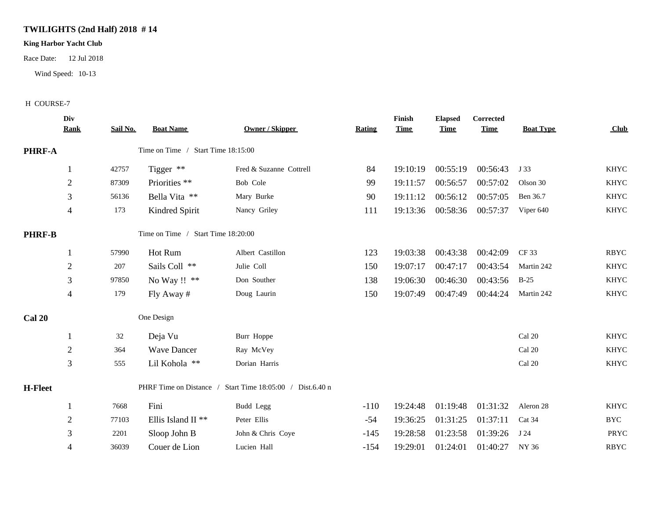## **TWILIGHTS (2nd Half) 2018 # 14**

## **King Harbor Yacht Club**

Race Date: 12 Jul 2018

Wind Speed: 10-13

## H COURSE-7

|                | Div<br><b>Rank</b>                                        | Sail No. | <b>Boat Name</b>              | Owner / Skipper         | <b>Rating</b> | Finish<br><b>Time</b> | <b>Elapsed</b><br><b>Time</b> | <b>Corrected</b><br><b>Time</b> | <b>Boat Type</b> | Club        |
|----------------|-----------------------------------------------------------|----------|-------------------------------|-------------------------|---------------|-----------------------|-------------------------------|---------------------------------|------------------|-------------|
| <b>PHRF-A</b>  | Time on Time / Start Time 18:15:00                        |          |                               |                         |               |                       |                               |                                 |                  |             |
|                |                                                           | 42757    | Tigger **                     | Fred & Suzanne Cottrell | 84            | 19:10:19              | 00:55:19                      | 00:56:43                        | J 33             | <b>KHYC</b> |
|                | $\overline{2}$                                            | 87309    | Priorities **                 | Bob Cole                | 99            | 19:11:57              | 00:56:57                      | 00:57:02                        | Olson 30         | <b>KHYC</b> |
|                | 3                                                         | 56136    | Bella Vita **                 | Mary Burke              | 90            | 19:11:12              | 00:56:12                      | 00:57:05                        | Ben 36.7         | <b>KHYC</b> |
|                | $\overline{4}$                                            | 173      | Kindred Spirit                | Nancy Griley            | 111           |                       | 19:13:36 00:58:36             | 00:57:37                        | Viper 640        | KHYC        |
| <b>PHRF-B</b>  | Time on Time / Start Time 18:20:00                        |          |                               |                         |               |                       |                               |                                 |                  |             |
|                |                                                           | 57990    | Hot Rum                       | Albert Castillon        | 123           | 19:03:38              | 00:43:38                      | 00:42:09                        | CF 33            | <b>RBYC</b> |
|                | $\sqrt{2}$                                                | 207      | Sails Coll **                 | Julie Coll              | 150           | 19:07:17              | 00:47:17                      | 00:43:54                        | Martin 242       | <b>KHYC</b> |
|                | 3                                                         | 97850    | No Way !! **                  | Don Souther             | 138           | 19:06:30              | 00:46:30                      | 00:43:56                        | $B-25$           | <b>KHYC</b> |
|                | 4                                                         | 179      | Fly Away #                    | Doug Laurin             | 150           | 19:07:49              | 00:47:49                      | 00:44:24                        | Martin 242       | <b>KHYC</b> |
| Cal 20         |                                                           |          | One Design                    |                         |               |                       |                               |                                 |                  |             |
|                |                                                           | 32       | Deja Vu                       | Burr Hoppe              |               |                       |                               |                                 | Cal 20           | <b>KHYC</b> |
|                | $\overline{2}$                                            | 364      | <b>Wave Dancer</b>            | Ray McVey               |               |                       |                               |                                 | Cal 20           | <b>KHYC</b> |
|                | 3                                                         | 555      | Lil Kohola **                 | Dorian Harris           |               |                       |                               |                                 | Cal 20           | <b>KHYC</b> |
| <b>H-Fleet</b> | PHRF Time on Distance / Start Time 18:05:00 / Dist.6.40 n |          |                               |                         |               |                       |                               |                                 |                  |             |
|                |                                                           | 7668     | Fini                          | Budd Legg               | $-110$        | 19:24:48              | 01:19:48                      | 01:31:32                        | Aleron 28        | <b>KHYC</b> |
|                | $\overline{2}$                                            | 77103    | Ellis Island II <sup>**</sup> | Peter Ellis             | $-54$         | 19:36:25              | 01:31:25                      | 01:37:11                        | Cat 34           | <b>BYC</b>  |
|                | 3                                                         | 2201     | Sloop John B                  | John & Chris Coye       | $-145$        | 19:28:58              | 01:23:58                      | 01:39:26                        | J 24             | PRYC        |
|                | $\overline{4}$                                            | 36039    | Couer de Lion                 | Lucien Hall             | $-154$        | 19:29:01              | 01:24:01                      | 01:40:27                        | NY 36            | <b>RBYC</b> |